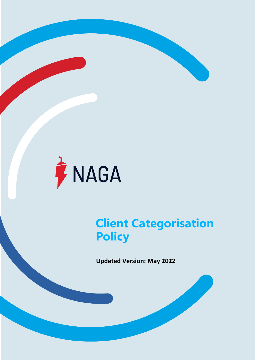

**Client Categorisation Policy**

**Updated Version: May 2022**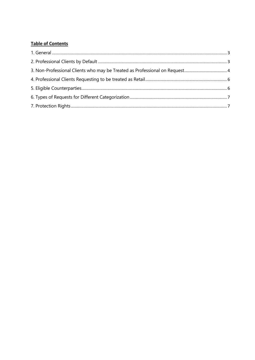## **Table of Contents**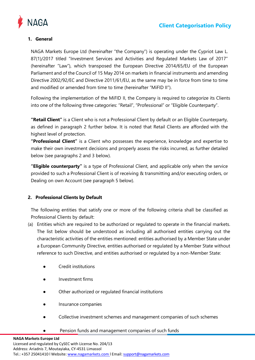

## <span id="page-2-0"></span>**1. General**

NAGA Markets Europe Ltd (hereinafter "the Company") is operating under the Cypriot Law L. 87(1)/2017 titled "Investment Services and Activities and Regulated Markets Law of 2017" (hereinafter "Law"), which transposed the European Directive 2014/65/EU of the European Parliament and of the Council of 15 May 2014 on markets in financial instruments and amending Directive 2002/92/EC and Directive 2011/61/EU, as the same may be in force from time to time and modified or amended from time to time (hereinafter "MiFID II").

Following the implementation of the MiFID II, the Company is required to categorize its Clients into one of the following three categories: "Retail", "Professional" or "Eligible Counterparty".

**"Retail Client"** is a Client who is not a Professional Client by default or an Eligible Counterparty, as defined in paragraph 2 further below. It is noted that Retail Clients are afforded with the highest level of protection.

**"Professional Client"** is a Client who possesses the experience, knowledge and expertise to make their own investment decisions and properly assess the risks incurred, as further detailed below (see paragraphs 2 and 3 below).

**"Eligible counterparty"** is a type of Professional Client, and applicable only when the service provided to such a Professional Client is of receiving & transmitting and/or executing orders, or Dealing on own Account (see paragraph 5 below).

## <span id="page-2-1"></span>**2. Professional Clients by Default**

The following entities that satisfy one or more of the following criteria shall be classified as Professional Clients by default:

- (a) Entities which are required to be authorized or regulated to operate in the financial markets. The list below should be understood as including all authorised entities carrying out the characteristic activities of the entities mentioned: entities authorised by a Member State under a European Community Directive, entities authorised or regulated by a Member State without reference to such Directive, and entities authorised or regulated by a non-Member State:
	- Credit institutions
	- Investment firms
	- Other authorized or regulated financial institutions
	- Insurance companies
	- Collective investment schemes and management companies of such schemes
	- Pension funds and management companies of such funds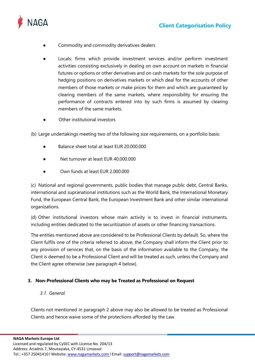



- Commodity and commodity derivatives dealers
- Locals: firms which provide investment services and/or perform investment activities consisting exclusively in dealing on own account on markets in financial futures or options or other derivatives and on cash markets for the sole purpose of hedging positions on derivatives markets or which deal for the accounts of other members of those markets or make prices for them and which are guaranteed by clearing members of the same markets, where responsibility for ensuring the performance of contracts entered into by such firms is assumed by clearing members of the same markets.
- Other institutional investors

(b) Large undertakings meeting two of the following size requirements, on a portfolio basis:

- Balance sheet total at least EUR 20,000,000
- Net turnover at least EUR 40.000.000
- Own funds at least EUR 2.000.000

(c) National and regional governments, public bodies that manage public debt, Central Banks, international and supranational institutions such as the World Bank, the International Monetary Fund, the European Central Bank, the European Investment Bank and other similar international organizations.

(d) Other institutional investors whose main activity is to invest in financial instruments, including entities dedicated to the securitization of assets or other financing transactions.

The entities mentioned above are considered to be Professional Clients by default. So, where the Client fulfils one of the criteria referred to above, the Company shall inform the Client prior to any provision of services that, on the basis of the information available to the Company, the Client is deemed to be a Professional Client and will be treated as such, unless the Company and the Client agree otherwise (see paragraph 4 below).

#### <span id="page-3-0"></span>**3. Non-Professional Clients who may be Treated as Professional on Request**

*3.1. General*

Clients not mentioned in paragraph 2 above may also be allowed to be treated as Professional Clients and hence waive some of the protections afforded by the Law.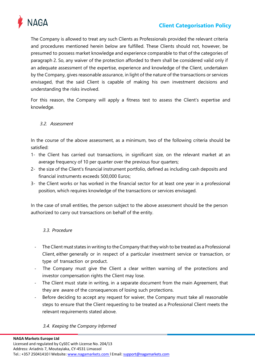

# **Client Categorisation Policy**

The Company is allowed to treat any such Clients as Professionals provided the relevant criteria and procedures mentioned herein below are fulfilled. These Clients should not, however, be presumed to possess market knowledge and experience comparable to that of the categories of paragraph 2. So, any waiver of the protection afforded to them shall be considered valid only if an adequate assessment of the expertise, experience and knowledge of the Client, undertaken by the Company, gives reasonable assurance, in light of the nature of the transactions or services envisaged, that the said Client is capable of making his own investment decisions and understanding the risks involved.

For this reason, the Company will apply a fitness test to assess the Client's expertise and knowledge.

## *3.2. Assessment*

In the course of the above assessment, as a minimum, two of the following criteria should be satisfied:

- 1- the Client has carried out transactions, in significant size, on the relevant market at an average frequency of 10 per quarter over the previous four quarters;
- 2- the size of the Client's financial instrument portfolio, defined as including cash deposits and financial instruments exceeds 500,000 Euros;
- 3- the Client works or has worked in the financial sector for at least one year in a professional position, which requires knowledge of the transactions or services envisaged.

In the case of small entities, the person subject to the above assessment should be the person authorized to carry out transactions on behalf of the entity.

## *3.3. Procedure*

- The Client must states in writing to the Company that they wish to be treated as a Professional Client, either generally or in respect of a particular investment service or transaction, or type of transaction or product.
- The Company must give the Client a clear written warning of the protections and investor compensation rights the Client may lose.
- The Client must state in writing, in a separate document from the main Agreement, that they are aware of the consequences of losing such protections.
- Before deciding to accept any request for waiver, the Company must take all reasonable steps to ensure that the Client requesting to be treated as a Professional Client meets the relevant requirements stated above.

## *3.4. Keeping the Company Informed*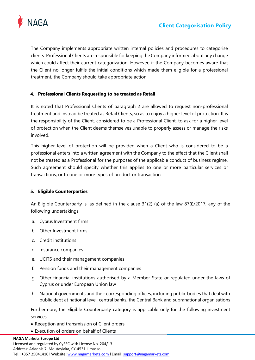

The Company implements appropriate written internal policies and procedures to categorise clients. Professional Clients are responsible for keeping the Company informed about any change which could affect their current categorization. However, if the Company becomes aware that the Client no longer fulfils the initial conditions which made them eligible for a professional treatment, the Company should take appropriate action.

## <span id="page-5-0"></span>**4. Professional Clients Requesting to be treated as Retail**

It is noted that Professional Clients of paragraph 2 are allowed to request non-professional treatment and instead be treated as Retail Clients, so as to enjoy a higher level of protection. It is the responsibility of the Client, considered to be a Professional Client, to ask for a higher level of protection when the Client deems themselves unable to properly assess or manage the risks involved.

This higher level of protection will be provided when a Client who is considered to be a professional enters into a written agreement with the Company to the effect that the Client shall not be treated as a Professional for the purposes of the applicable conduct of business regime. Such agreement should specify whether this applies to one or more particular services or transactions, or to one or more types of product or transaction.

## <span id="page-5-1"></span>**5. Eligible Counterparties**

An Eligible Counterparty is, as defined in the clause 31(2) (a) of the law 87(i)/2017, any of the following undertakings:

- a. Cyprus Investment firms
- b. Other Investment firms
- c. Credit institutions
- d. Insurance companies
- e. UCITS and their management companies
- f. Pension funds and their management companies
- g. Other financial institutions authorised by a Member State or regulated under the laws of Cyprus or under European Union law
- h. National governments and their corresponding offices, including public bodies that deal with public debt at national level, central banks, the Central Bank and supranational organisations

Furthermore, the Eligible Counterparty category is applicable only for the following investment services:

- Reception and transmission of Client orders
- Execution of orders on behalf of Clients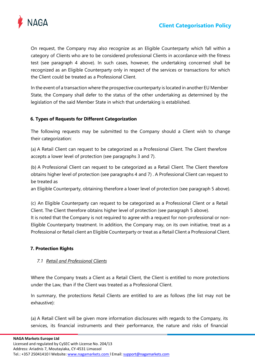

On request, the Company may also recognize as an Eligible Counterparty which fall within a category of Clients who are to be considered professional Clients in accordance with the fitness test (see paragraph 4 above). In such cases, however, the undertaking concerned shall be recognized as an Eligible Counterparty only in respect of the services or transactions for which the Client could be treated as a Professional Client.

In the event of a transaction where the prospective counterparty is located in another EU Member State, the Company shall defer to the status of the other undertaking as determined by the legislation of the said Member State in which that undertaking is established.

## <span id="page-6-0"></span>**6. Types of Requests for Different Categorization**

The following requests may be submitted to the Company should a Client wish to change their categorization:

(a) A Retail Client can request to be categorized as a Professional Client. The Client therefore accepts a lower level of protection (see paragraphs 3 and 7).

(b) A Professional Client can request to be categorized as a Retail Client. The Client therefore obtains higher level of protection (see paragraphs 4 and 7) . A Professional Client can request to be treated as

an Eligible Counterparty, obtaining therefore a lower level of protection (see paragraph 5 above).

(c) An Eligible Counterparty can request to be categorized as a Professional Client or a Retail Client. The Client therefore obtains higher level of protection (see paragraph 5 above).

It is noted that the Company is not required to agree with a request for non-professional or non-Eligible Counterparty treatment. In addition, the Company may, on its own initiative, treat as a Professional or Retail client an Eligible Counterparty or treat as a Retail Client a Professional Client.

## <span id="page-6-1"></span>**7. Protection Rights**

## *7.1 Retail and Professional Clients*

Where the Company treats a Client as a Retail Client, the Client is entitled to more protections under the Law, than if the Client was treated as a Professional Client.

In summary, the protections Retail Clients are entitled to are as follows (the list may not be exhaustive):

(a) A Retail Client will be given more information disclosures with regards to the Company, its services, its financial instruments and their performance, the nature and risks of financial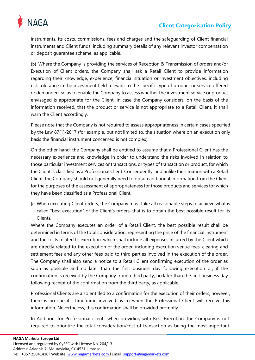## **Client Categorisation Policy**



instruments, its costs, commissions, fees and charges and the safeguarding of Client financial instruments and Client funds, including summary details of any relevant investor compensation or deposit guarantee scheme, as applicable.

(b) Where the Company is providing the services of Reception & Transmission of orders and/or Execution of Client orders, the Company shall ask a Retail Client to provide information regarding their knowledge, experience, financial situation or investment objectives, including risk tolerance in the investment field relevant to the specific type of product or service offered or demanded, so as to enable the Company to assess whether the investment service or product envisaged is appropriate for the Client. In case the Company considers, on the basis of the information received, that the product or service is not appropriate to a Retail Client, it shall warn the Client accordingly.

Please note that the Company is not required to assess appropriateness in certain cases specified by the Law 87(1)/2017 (for example, but not limited to, the situation where on an execution only basis the financial instrument concerned is not complex).

On the other hand, the Company shall be entitled to assume that a Professional Client has the necessary experience and knowledge in order to understand the risks involved in relation to those particular investment services or transactions, or types of transaction or product, for which the Client is classified as a Professional Client. Consequently, and unlike the situation with a Retail Client, the Company should not generally need to obtain additional information from the Client for the purposes of the assessment of appropriateness for those products and services for which they have been classified as a Professional Client.

(c) When executing Client orders, the Company must take all reasonable steps to achieve what is called "best execution" of the Client's orders, that is to obtain the best possible result for its Clients.

Where the Company executes an order of a Retail Client, the best possible result shall be determined in terms of the total consideration, representing the price of the financial instrument and the costs related to execution, which shall include all expenses incurred by the Client which are directly related to the execution of the order, including execution venue fees, clearing and settlement fees and any other fees paid to third parties involved in the execution of the order. The Company shall also send a notice to a Retail Client confirming execution of the order as soon as possible and no later than the first business day following execution or, if the confirmation is received by the Company from a third party, no later than the first business day following receipt of the confirmation from the third party, as applicable.

Professional Clients are also entitled to a confirmation for the execution of their orders; however, there is no specific timeframe involved as to when the Professional Client will receive this information. Nevertheless, this confirmation shall be provided promptly.

In Addition, for Professional clients when providing with Best Execution, the Company is not required to prioritize the total consideration/cost of transaction as being the most important